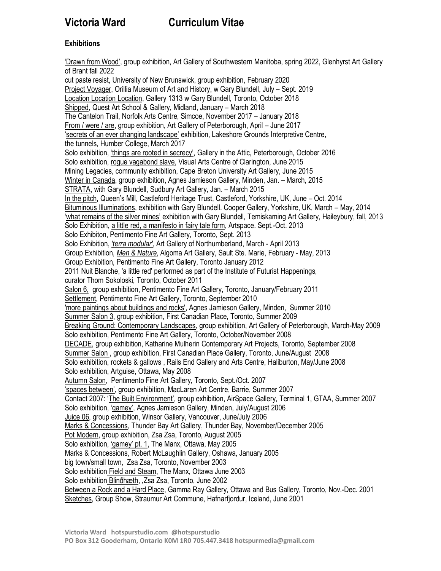# **Victoria Ward Curriculum Vitae**

# **Exhibitions**

'Drawn from Wood', group exhibition, Art Gallery of Southwestern Manitoba, spring 2022, Glenhyrst Art Gallery of Brant fall 2022 cut paste resist, University of New Brunswick, group exhibition, February 2020 Project Voyager, Orillia Museum of Art and History, w Gary Blundell, July – Sept. 2019 Location Location Location, Gallery 1313 w Gary Blundell, Toronto, October 2018 Shipped, Quest Art School & Gallery, Midland, January – March 2018 The Cantelon Trail, Norfolk Arts Centre, Simcoe, November 2017 – January 2018 From / were / are, group exhibition, Art Gallery of Peterborough, April – June 2017 'secrets of an ever changing landscape' exhibition, Lakeshore Grounds Interpretive Centre, the tunnels, Humber College, March 2017 Solo exhibition, 'things are rooted in secrecy', Gallery in the Attic, Peterborough, October 2016 Solo exhibition, rogue vagabond slave, Visual Arts Centre of Clarington, June 2015 Mining Legacies, community exhibition, Cape Breton University Art Gallery, June 2015 Winter in Canada, group exhibition, Agnes Jamieson Gallery, Minden, Jan. – March, 2015 STRATA, with Gary Blundell, Sudbury Art Gallery, Jan. – March 2015 In the pitch**,** Queen's Mill, Castleford Heritage Trust, Castleford, Yorkshire, UK, June – Oct. 2014 Bituminous Illuminations, exhibition with Gary Blundell. Cooper Gallery, Yorkshire, UK, March – May, 2014 'what remains of the silver mines' exhibition with Gary Blundell, Temiskaming Art Gallery, Haileybury, fall, 2013 Solo Exhibition, a little red, a manifesto in fairy tale form, Artspace. Sept.-Oct. 2013 Solo Exhibiton, Pentimento Fine Art Gallery, Toronto, Sept. 2013 Solo Exhibition, *'terra modular'*, Art Gallery of Northumberland, March - April 2013 Group Exhibition, *Men & Nature*, Algoma Art Gallery, Sault Ste. Marie, February - May, 2013 Group Exhibition, Pentimento Fine Art Gallery, Toronto January 2012 2011 Nuit Blanche, 'a little red' performed as part of the Institute of Futurist Happenings, curator Thom Sokoloski, Toronto, October 2011 Salon 6, group exhibition, Pentimento Fine Art Gallery, Toronto, January/February 2011 Settlement, Pentimento Fine Art Gallery, Toronto, September 2010 'more paintings about buildings and rocks', Agnes Jamieson Gallery, Minden, Summer 2010 Summer Salon 3, group exhibition, First Canadian Place, Toronto, Summer 2009 Breaking Ground: Contemporary Landscapes, group exhibition, Art Gallery of Peterborough, March-May 2009 Solo exhibition, Pentimento Fine Art Gallery, Toronto, October/November 2008 DECADE, group exhibition, Katharine Mulherin Contemporary Art Projects, Toronto, September 2008 Summer Salon , group exhibition, First Canadian Place Gallery, Toronto, June/August 2008 Solo exhibition, rockets & gallows , Rails End Gallery and Arts Centre, Haliburton, May/June 2008 Solo exhibition, Artguise, Ottawa, May 2008 Autumn Salon, Pentimento Fine Art Gallery, Toronto, Sept./Oct. 2007 'spaces between', group exhibition, MacLaren Art Centre, Barrie, Summer 2007 Contact 2007: 'The Built Environment', group exhibition, AirSpace Gallery, Terminal 1, GTAA, Summer 2007 Solo exhibition, 'gamey', Agnes Jamieson Gallery, Minden, July/August 2006 Juice 06, group exhibition, Winsor Gallery, Vancouver, June/July 2006 Marks & Concessions, Thunder Bay Art Gallery, Thunder Bay, November/December 2005 Pot Modern, group exhibition, Zsa Zsa, Toronto, August 2005 Solo exhibition, 'gamey' pt. 1, The Manx, Ottawa, May 2005 Marks & Concessions, Robert McLaughlin Gallery, Oshawa, January 2005 big town/small town, Zsa Zsa, Toronto, November 2003 Solo exhibition Field and Steam, The Manx, Ottawa June 2003 Solo exhibition Blinðhæth, ,Zsa Zsa, Toronto, June 2002 Between a Rock and a Hard Place, Gamma Ray Gallery, Ottawa and Bus Gallery, Toronto, Nov.-Dec. 2001 Sketches, Group Show, Straumur Art Commune, Hafnarfjordur, Iceland, June 2001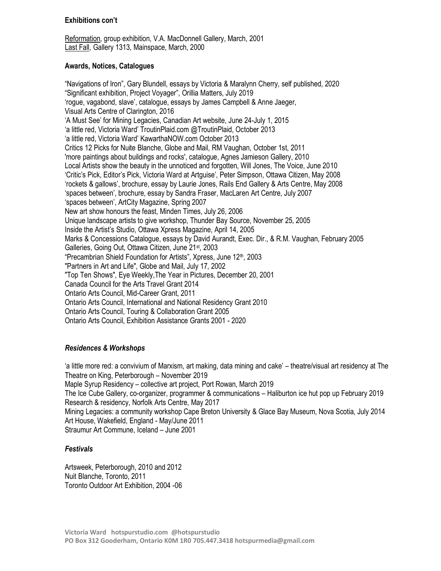#### **Exhibitions con't**

Reformation, group exhibition, V.A. MacDonnell Gallery, March, 2001 Last Fall, Gallery 1313, Mainspace, March, 2000

#### **Awards, Notices, Catalogues**

"Navigations of Iron", Gary Blundell, essays by Victoria & Maralynn Cherry, self published, 2020 "Significant exhibition, Project Voyager", Orillia Matters, July 2019 'rogue, vagabond, slave', catalogue, essays by James Campbell & Anne Jaeger, Visual Arts Centre of Clarington, 2016 'A Must See' for Mining Legacies, Canadian Art website, June 24-July 1, 2015 'a little red, Victoria Ward' TroutinPlaid.com @TroutinPlaid, October 2013 'a little red, Victoria Ward' KawarthaNOW.com October 2013 Critics 12 Picks for Nuite Blanche, Globe and Mail, RM Vaughan, October 1st, 2011 'more paintings about buildings and rocks', catalogue, Agnes Jamieson Gallery, 2010 Local Artists show the beauty in the unnoticed and forgotten, Will Jones, The Voice, June 2010 'Critic's Pick, Editor's Pick, Victoria Ward at Artguise', Peter Simpson, Ottawa Citizen, May 2008 'rockets & gallows', brochure, essay by Laurie Jones, Rails End Gallery & Arts Centre, May 2008 'spaces between', brochure, essay by Sandra Fraser, MacLaren Art Centre, July 2007 'spaces between', ArtCity Magazine, Spring 2007 New art show honours the feast, Minden Times, July 26, 2006 Unique landscape artists to give workshop, Thunder Bay Source, November 25, 2005 Inside the Artist's Studio, Ottawa Xpress Magazine, April 14, 2005 Marks & Concessions Catalogue, essays by David Aurandt, Exec. Dir., & R.M. Vaughan, February 2005 Galleries, Going Out, Ottawa Citizen, June 21<sup>st</sup>, 2003 "Precambrian Shield Foundation for Artists", Xpress, June 12<sup>th</sup>, 2003 "Partners in Art and Life", Globe and Mail, July 17, 2002 "Top Ten Shows", Eye Weekly,The Year in Pictures, December 20, 2001 Canada Council for the Arts Travel Grant 2014 Ontario Arts Council, Mid-Career Grant, 2011 Ontario Arts Council, International and National Residency Grant 2010 Ontario Arts Council, Touring & Collaboration Grant 2005 Ontario Arts Council, Exhibition Assistance Grants 2001 - 2020

## *Residences & Workshops*

'a little more red: a convivium of Marxism, art making, data mining and cake' – theatre/visual art residency at The Theatre on King, Peterborough – November 2019 Maple Syrup Residency – collective art project, Port Rowan, March 2019 The Ice Cube Gallery, co-organizer, programmer & communications – Haliburton ice hut pop up February 2019 Research & residency, Norfolk Arts Centre, May 2017 Mining Legacies: a community workshop Cape Breton University & Glace Bay Museum, Nova Scotia, July 2014 Art House, Wakefield, England - May/June 2011 Straumur Art Commune, Iceland – June 2001

## *Festivals*

Artsweek, Peterborough, 2010 and 2012 Nuit Blanche, Toronto, 2011 Toronto Outdoor Art Exhibition, 2004 -06